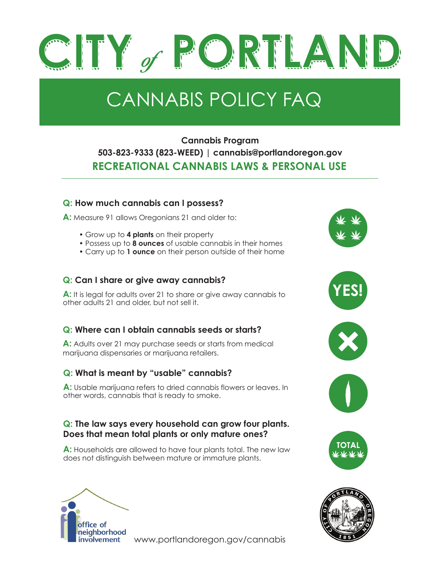

# CANNABIS POLICY FAQ

# **Cannabis Program 503-823-9333 (823-WEED) | cannabis@portlandoregon.gov RECREATIONAL CANNABIS LAWS & PERSONAL USE**

#### **Q: How much cannabis can I possess?**

**A:** Measure 91 allows Oregonians 21 and older to:

- Grow up to **4 plants** on their property
- Possess up to **8 ounces** of usable cannabis in their homes
- Carry up to **1 ounce** on their person outside of their home

#### **Q: Can I share or give away cannabis?**

**A:** It is legal for adults over 21 to share or give away cannabis to other adults 21 and older, but not sell it.

#### **Q: Where can I obtain cannabis seeds or starts?**

**A:** Adults over 21 may purchase seeds or starts from medical marijuana dispensaries or marijuana retailers.

#### **Q: What is meant by "usable" cannabis?**

**A:** Usable marijuana refers to dried cannabis flowers or leaves. In other words, cannabis that is ready to smoke.

#### **Q: The law says every household can grow four plants. Does that mean total plants or only mature ones?**

**A:** Households are allowed to have four plants total. The new law does not distinguish between mature or immature plants.



involvement www.portlandoregon.gov/cannabis











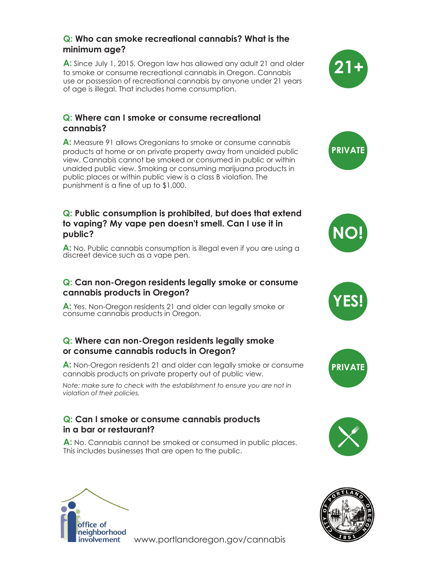#### **Q: Who can smoke recreational cannabis? What is the minimum age?**

**A:** Since July 1, 2015, Oregon law has allowed any adult 21 and older to smoke or consume recreational cannabis in Oregon. Cannabis use or possession of recreational cannabis by anyone under 21 years of age is illegal. That includes home consumption.

#### **Q: Where can I smoke or consume recreational cannabis?**

**A:** Measure 91 allows Oregonians to smoke or consume cannabis products at home or on private property away from unaided public view. Cannabis cannot be smoked or consumed in public or within unaided public view. Smoking or consuming marijuana products in public places or within public view is a class B violation. The punishment is a fine of up to \$1,000.

#### **Q: Public consumption is prohibited, but does that extend to vaping? My vape pen doesn't smell. Can I use it in public?**

**A:** No. Public cannabis consumption is illegal even if you are using a discreet device such as a vape pen.

#### **Q: Can non-Oregon residents legally smoke or consume cannabis products in Oregon?**

**A:** Yes. Non-Oregon residents 21 and older can legally smoke or consume cannabis products in Oregon.

#### **Q: Where can non-Oregon residents legally smoke or consume cannabis roducts in Oregon?**

**A:** Non-Oregon residents 21 and older can legally smoke or consume cannabis products on private property out of public view.

*Note: make sure to check with the establishment to ensure you are not in violation of their policies.* 

#### **Q: Can I smoke or consume cannabis products in a bar or restaurant?**

**A:** No. Cannabis cannot be smoked or consumed in public places. This includes businesses that are open to the public.















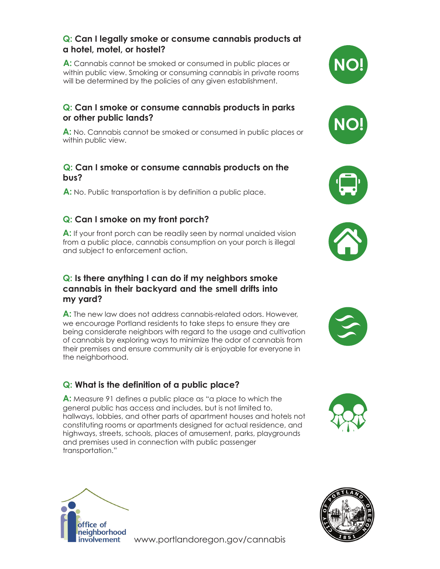#### **Q: Can I legally smoke or consume cannabis products at a hotel, motel, or hostel?**

**A:** Cannabis cannot be smoked or consumed in public places or within public view. Smoking or consuming cannabis in private rooms will be determined by the policies of any given establishment.

#### **Q: Can I smoke or consume cannabis products in parks or other public lands?**

**A:** No. Cannabis cannot be smoked or consumed in public places or within public view.

#### **Q: Can I smoke or consume cannabis products on the bus?**

**A:** No. Public transportation is by definition a public place.

# **Q: Can I smoke on my front porch?**

**A:** If your front porch can be readily seen by normal unaided vision from a public place, cannabis consumption on your porch is illegal and subject to enforcement action.

#### **Q: Is there anything I can do if my neighbors smoke cannabis in their backyard and the smell drifts into my yard?**

**A:** The new law does not address cannabis-related odors. However, we encourage Portland residents to take steps to ensure they are being considerate neighbors with regard to the usage and cultivation of cannabis by exploring ways to minimize the odor of cannabis from their premises and ensure community air is enjoyable for everyone in the neighborhood.

# **Q: What is the definition of a public place?**

**A:** Measure 91 defines a public place as "a place to which the general public has access and includes, but is not limited to, hallways, lobbies, and other parts of apartment houses and hotels not constituting rooms or apartments designed for actual residence, and highways, streets, schools, places of amusement, parks, playgrounds and premises used in connection with public passenger transportation."















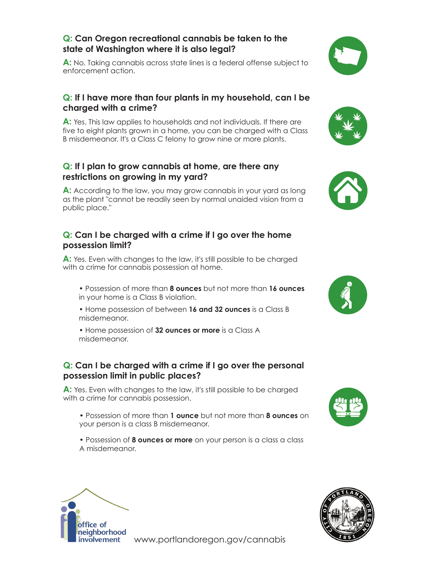#### **Q: Can Oregon recreational cannabis be taken to the state of Washington where it is also legal?**

**A:** No. Taking cannabis across state lines is a federal offense subject to enforcement action.

#### **Q: If I have more than four plants in my household, can I be charged with a crime?**

**A:** Yes. This law applies to households and not individuals. If there are five to eight plants grown in a home, you can be charged with a Class B misdemeanor. It's a Class C felony to grow nine or more plants.

#### **Q: If I plan to grow cannabis at home, are there any restrictions on growing in my yard?**

**A:** According to the law, you may grow cannabis in your yard as long as the plant "cannot be readily seen by normal unaided vision from a public place."

#### **Q: Can I be charged with a crime if I go over the home possession limit?**

**A:** Yes. Even with changes to the law, it's still possible to be charged with a crime for cannabis possession at home.

- Possession of more than **8 ounces** but not more than **16 ounces** in your home is a Class B violation.
- Home possession of between **16 and 32 ounces** is a Class B misdemeanor.
- Home possession of **32 ounces or more** is a Class A misdemeanor.

#### **Q: Can I be charged with a crime if I go over the personal possession limit in public places?**

**A:** Yes. Even with changes to the law, it's still possible to be charged with a crime for cannabis possession.

- Possession of more than **1 ounce** but not more than **8 ounces** on your person is a class B misdemeanor.
- Possession of **8 ounces or more** on your person is a class a class A misdemeanor.













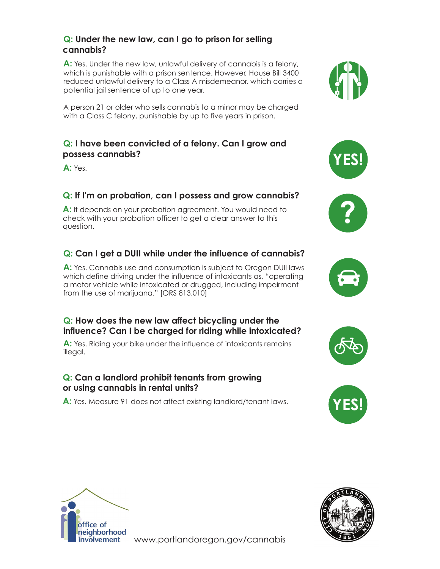#### **Q: Under the new law, can I go to prison for selling cannabis?**

**A:** Yes. Under the new law, unlawful delivery of cannabis is a felony, which is punishable with a prison sentence. However, House Bill 3400 reduced unlawful delivery to a Class A misdemeanor, which carries a potential jail sentence of up to one year.

A person 21 or older who sells cannabis to a minor may be charged with a Class C felony, punishable by up to five years in prison.

#### **Q: I have been convicted of a felony. Can I grow and possess cannabis?**

**A:** Yes.

## **Q: If I'm on probation, can I possess and grow cannabis?**

**A:** It depends on your probation agreement. You would need to check with your probation officer to get a clear answer to this question.

# **Q: Can I get a DUII while under the influence of cannabis?**

**A:** Yes. Cannabis use and consumption is subject to Oregon DUII laws which define driving under the influence of intoxicants as, "operating a motor vehicle while intoxicated or drugged, including impairment from the use of marijuana." [ORS 813.010]

#### **Q: How does the new law affect bicycling under the influence? Can I be charged for riding while intoxicated?**

A: Yes. Riding your bike under the influence of intoxicants remains illegal.

#### **Q: Can a landlord prohibit tenants from growing or using cannabis in rental units?**

**A:** Yes. Measure 91 does not affect existing landlord/tenant laws.













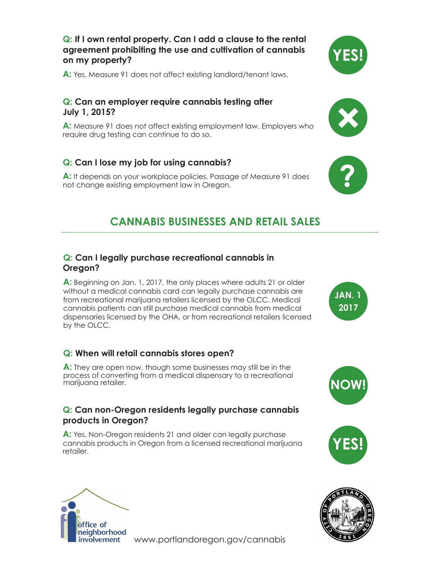#### **Q: If I own rental property. Can I add a clause to the rental agreement prohibiting the use and cultivation of cannabis on my property?**

**A:** Yes. Measure 91 does not affect existing landlord/tenant laws.

#### **Q: Can an employer require cannabis testing after July 1, 2015?**

**A:** Measure 91 does not affect existing employment law. Employers who require drug testing can continue to do so.

#### **Q: Can I lose my job for using cannabis?**

**A:** It depends on your workplace policies. Passage of Measure 91 does not change existing employment law in Oregon.

# **CANNABIS BUSINESSES AND RETAIL SALES**

#### **Q: Can I legally purchase recreational cannabis in Oregon?**

**A:** Beginning on Jan. 1, 2017, the only places where adults 21 or older without a medical cannabis card can legally purchase cannabis are from recreational marijuana retailers licensed by the OLCC. Medical cannabis patients can still purchase medical cannabis from medical dispensaries licensed by the OHA, or from recreational retailers licensed by the OLCC.

#### **Q: When will retail cannabis stores open?**

**A:** They are open now, though some businesses may still be in the process of converting from a medical dispensary to a recreational marijuana retailer.

#### **Q: Can non-Oregon residents legally purchase cannabis products in Oregon?**

**A:** Yes. Non-Oregon residents 21 and older can legally purchase cannabis products in Oregon from a licensed recreational marijuana retailer.



www.portlandoregon.gov/cannabis







**?**







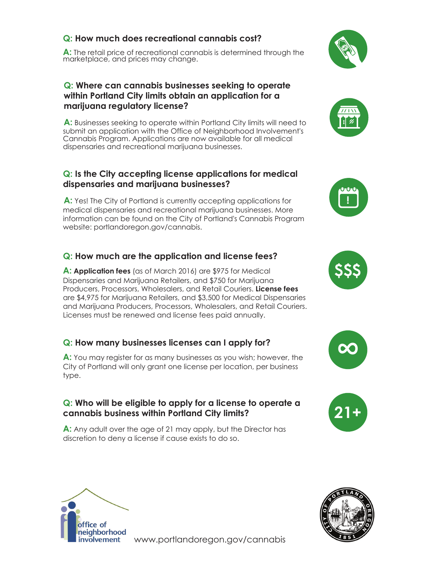#### **Q: How much does recreational cannabis cost?**

**A:** The retail price of recreational cannabis is determined through the marketplace, and prices may change.

#### **Q: Where can cannabis businesses seeking to operate within Portland City limits obtain an application for a marijuana regulatory license?**

**A:** Businesses seeking to operate within Portland City limits will need to submit an application with the Office of Neighborhood Involvement's Cannabis Program. Applications are now available for all medical dispensaries and recreational marijuana businesses.

#### **Q: Is the City accepting license applications for medical dispensaries and marijuana businesses?**

**A:** Yes! The City of Portland is currently accepting applications for medical dispensaries and recreational marijuana businesses. More information can be found on the City of Portland's Cannabis Program website: portlandoregon.gov/cannabis.

#### **Q: How much are the application and license fees?**

**A: Application fees** (as of March 2016) are \$975 for Medical Dispensaries and Marijuana Retailers, and \$750 for Marijuana Producers, Processors, Wholesalers, and Retail Couriers. **License fees**  are \$4,975 for Marijuana Retailers, and \$3,500 for Medical Dispensaries and Marijuana Producers, Processors, Wholesalers, and Retail Couriers. Licenses must be renewed and license fees paid annually.

#### **Q: How many businesses licenses can I apply for?**

**A:** You may register for as many businesses as you wish; however, the City of Portland will only grant one license per location, per business type.

#### **Q: Who will be eligible to apply for a license to operate a cannabis business within Portland City limits?**

**A:** Any adult over the age of 21 may apply, but the Director has discretion to deny a license if cause exists to do so.















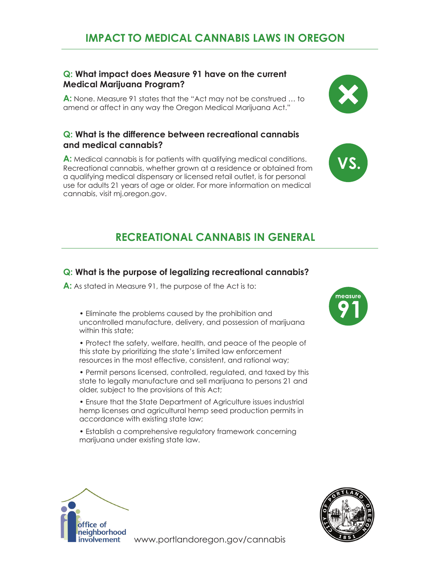# **IMPACT TO MEDICAL CANNABIS LAWS IN OREGON**

#### **Q: What impact does Measure 91 have on the current Medical Marijuana Program?**

**A:** None. Measure 91 states that the "Act may not be construed … to amend or affect in any way the Oregon Medical Marijuana Act."

#### **Q: What is the difference between recreational cannabis and medical cannabis?**

**A:** Medical cannabis is for patients with qualifying medical conditions. Recreational cannabis, whether grown at a residence or obtained from a qualifying medical dispensary or licensed retail outlet, is for personal use for adults 21 years of age or older. For more information on medical cannabis, visit mj.oregon.gov.

# **RECREATIONAL CANNABIS IN GENERAL**

#### **Q: What is the purpose of legalizing recreational cannabis?**

**A:** As stated in Measure 91, the purpose of the Act is to:

• Eliminate the problems caused by the prohibition and uncontrolled manufacture, delivery, and possession of marijuana within this state:

• Protect the safety, welfare, health, and peace of the people of this state by prioritizing the state's limited law enforcement resources in the most effective, consistent, and rational way;

• Permit persons licensed, controlled, regulated, and taxed by this state to legally manufacture and sell marijuana to persons 21 and older, subject to the provisions of this Act;

• Ensure that the State Department of Agriculture issues industrial hemp licenses and agricultural hemp seed production permits in accordance with existing state law;

• Establish a comprehensive regulatory framework concerning marijuana under existing state law.